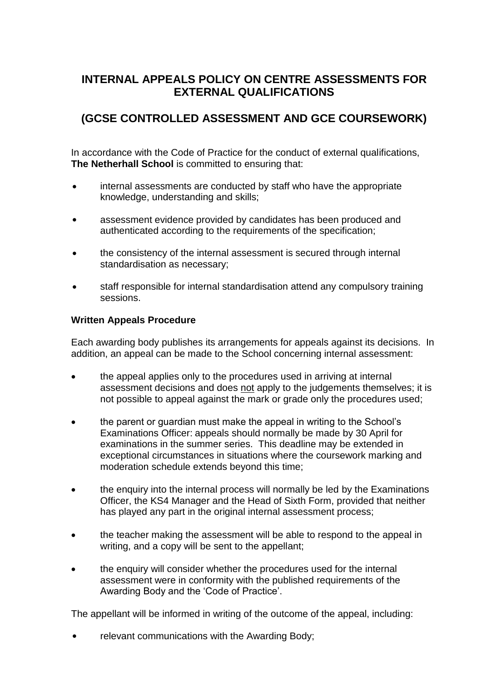# **INTERNAL APPEALS POLICY ON CENTRE ASSESSMENTS FOR EXTERNAL QUALIFICATIONS**

# **(GCSE CONTROLLED ASSESSMENT AND GCE COURSEWORK)**

In accordance with the Code of Practice for the conduct of external qualifications, **The Netherhall School** is committed to ensuring that:

- $\bullet$ internal assessments are conducted by staff who have the appropriate knowledge, understanding and skills;
- $\bullet$ assessment evidence provided by candidates has been produced and authenticated according to the requirements of the specification;
- $\bullet$ the consistency of the internal assessment is secured through internal standardisation as necessary;
- $\bullet$ staff responsible for internal standardisation attend any compulsory training sessions.

#### **Written Appeals Procedure**

Each awarding body publishes its arrangements for appeals against its decisions. In addition, an appeal can be made to the School concerning internal assessment:

- the appeal applies only to the procedures used in arriving at internal assessment decisions and does not apply to the judgements themselves; it is not possible to appeal against the mark or grade only the procedures used;
- the parent or guardian must make the appeal in writing to the School's Examinations Officer: appeals should normally be made by 30 April for examinations in the summer series. This deadline may be extended in exceptional circumstances in situations where the coursework marking and moderation schedule extends beyond this time;
- the enquiry into the internal process will normally be led by the Examinations Officer, the KS4 Manager and the Head of Sixth Form, provided that neither has played any part in the original internal assessment process;
- the teacher making the assessment will be able to respond to the appeal in writing, and a copy will be sent to the appellant;
- the enquiry will consider whether the procedures used for the internal assessment were in conformity with the published requirements of the Awarding Body and the 'Code of Practice'.

The appellant will be informed in writing of the outcome of the appeal, including:

• relevant communications with the Awarding Body: